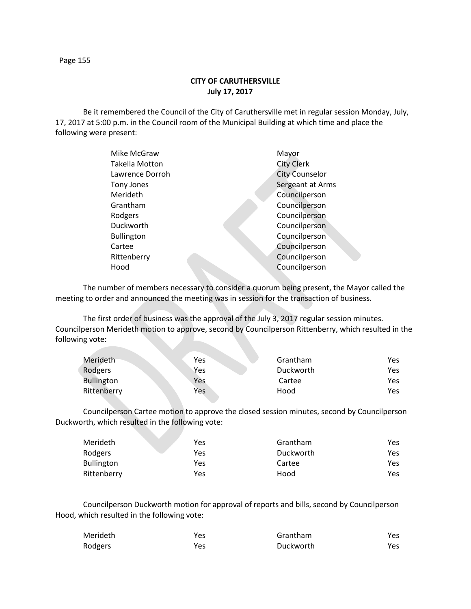Page 155

**Contract Contract Contract** 

# **CITY OF CARUTHERSVILLE July 17, 2017**

Be it remembered the Council of the City of Caruthersville met in regular session Monday, July, 17, 2017 at 5:00 p.m. in the Council room of the Municipal Building at which time and place the following were present:

| Mike McGraw           | Mayor                 |
|-----------------------|-----------------------|
| <b>Takella Motton</b> | <b>City Clerk</b>     |
| Lawrence Dorroh       | <b>City Counselor</b> |
| Tony Jones            | Sergeant at Arms      |
| Merideth              | Councilperson         |
| Grantham              | Councilperson         |
| Rodgers               | Councilperson         |
| Duckworth             | Councilperson         |
| <b>Bullington</b>     | Councilperson         |
| Cartee                | Councilperson         |
| Rittenberry           | Councilperson         |
| Hood                  | Councilperson         |
|                       |                       |

The number of members necessary to consider a quorum being present, the Mayor called the meeting to order and announced the meeting was in session for the transaction of business.

The first order of business was the approval of the July 3, 2017 regular session minutes. Councilperson Merideth motion to approve, second by Councilperson Rittenberry, which resulted in the following vote:

| Merideth          | Yes | Grantham  | Yes        |
|-------------------|-----|-----------|------------|
| Rodgers           | Yes | Duckworth | Yes        |
| <b>Bullington</b> | Yes | Cartee    | <b>Yes</b> |
| Rittenberry       | Yes | Hood      | Yes        |

Councilperson Cartee motion to approve the closed session minutes, second by Councilperson Duckworth, which resulted in the following vote:

| Merideth          | Yes | Grantham  | Yes. |
|-------------------|-----|-----------|------|
| Rodgers           | Yes | Duckworth | Yes  |
| <b>Bullington</b> | Yes | Cartee    | Yes  |
| Rittenberry       | Yes | Hood      | Yes  |

Councilperson Duckworth motion for approval of reports and bills, second by Councilperson Hood, which resulted in the following vote:

| Merideth | Yes | Grantham  | Yes |
|----------|-----|-----------|-----|
| Rodgers  | Yes | Duckworth | Yes |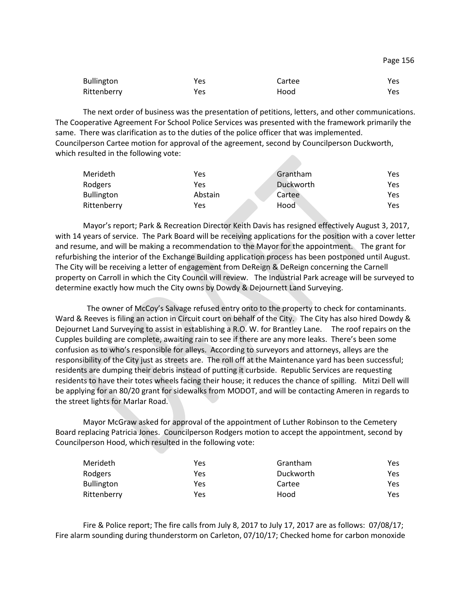| <b>Bullington</b> | Yes | Cartee | Yes. |
|-------------------|-----|--------|------|
| Rittenberry       | Yes | Hood   | Yes. |

The next order of business was the presentation of petitions, letters, and other communications. The Cooperative Agreement For School Police Services was presented with the framework primarily the same. There was clarification as to the duties of the police officer that was implemented. Councilperson Cartee motion for approval of the agreement, second by Councilperson Duckworth, which resulted in the following vote:

| Merideth          | Yes     | Grantham          | Yes |
|-------------------|---------|-------------------|-----|
| Rodgers           | Yes     | Duckworth         | Yes |
| <b>Bullington</b> | Abstain | Cartee            | Yes |
| Rittenberry       | Yes     | Hood <sup>®</sup> | Yes |

Mayor's report; Park & Recreation Director Keith Davis has resigned effectively August 3, 2017, with 14 years of service. The Park Board will be receiving applications for the position with a cover letter and resume, and will be making a recommendation to the Mayor for the appointment. The grant for refurbishing the interior of the Exchange Building application process has been postponed until August. The City will be receiving a letter of engagement from DeReign & DeReign concerning the Carnell property on Carroll in which the City Council will review. The Industrial Park acreage will be surveyed to determine exactly how much the City owns by Dowdy & Dejournett Land Surveying.

 The owner of McCoy's Salvage refused entry onto to the property to check for contaminants. Ward & Reeves is filing an action in Circuit court on behalf of the City. The City has also hired Dowdy & Dejournet Land Surveying to assist in establishing a R.O. W. for Brantley Lane. The roof repairs on the Cupples building are complete, awaiting rain to see if there are any more leaks. There's been some confusion as to who's responsible for alleys. According to surveyors and attorneys, alleys are the responsibility of the City just as streets are. The roll off at the Maintenance yard has been successful; residents are dumping their debris instead of putting it curbside. Republic Services are requesting residents to have their totes wheels facing their house; it reduces the chance of spilling. Mitzi Dell will be applying for an 80/20 grant for sidewalks from MODOT, and will be contacting Ameren in regards to the street lights for Marlar Road.

Mayor McGraw asked for approval of the appointment of Luther Robinson to the Cemetery Board replacing Patricia Jones. Councilperson Rodgers motion to accept the appointment, second by Councilperson Hood, which resulted in the following vote:

| Merideth          | Yes | Grantham  | Yes. |
|-------------------|-----|-----------|------|
| Rodgers           | Yes | Duckworth | Yes. |
| <b>Bullington</b> | Yes | Cartee    | Yes. |
| Rittenberry       | Yes | Hood      | Yes. |

Fire & Police report; The fire calls from July 8, 2017 to July 17, 2017 are as follows: 07/08/17; Fire alarm sounding during thunderstorm on Carleton, 07/10/17; Checked home for carbon monoxide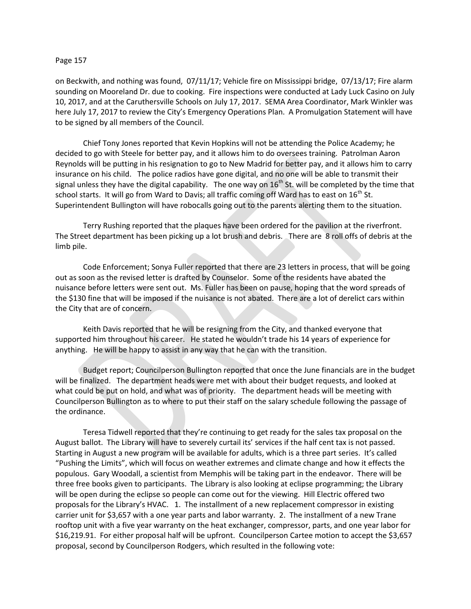#### Page 157

on Beckwith, and nothing was found, 07/11/17; Vehicle fire on Mississippi bridge, 07/13/17; Fire alarm sounding on Mooreland Dr. due to cooking. Fire inspections were conducted at Lady Luck Casino on July 10, 2017, and at the Caruthersville Schools on July 17, 2017. SEMA Area Coordinator, Mark Winkler was here July 17, 2017 to review the City's Emergency Operations Plan. A Promulgation Statement will have to be signed by all members of the Council.

Chief Tony Jones reported that Kevin Hopkins will not be attending the Police Academy; he decided to go with Steele for better pay, and it allows him to do oversees training. Patrolman Aaron Reynolds will be putting in his resignation to go to New Madrid for better pay, and it allows him to carry insurance on his child. The police radios have gone digital, and no one will be able to transmit their signal unless they have the digital capability. The one way on  $16<sup>th</sup>$  St. will be completed by the time that school starts. It will go from Ward to Davis; all traffic coming off Ward has to east on  $16^{th}$  St. Superintendent Bullington will have robocalls going out to the parents alerting them to the situation.

Terry Rushing reported that the plaques have been ordered for the pavilion at the riverfront. The Street department has been picking up a lot brush and debris. There are 8 roll offs of debris at the limb pile.

Code Enforcement; Sonya Fuller reported that there are 23 letters in process, that will be going out as soon as the revised letter is drafted by Counselor. Some of the residents have abated the nuisance before letters were sent out. Ms. Fuller has been on pause, hoping that the word spreads of the \$130 fine that will be imposed if the nuisance is not abated. There are a lot of derelict cars within the City that are of concern.

Keith Davis reported that he will be resigning from the City, and thanked everyone that supported him throughout his career. He stated he wouldn't trade his 14 years of experience for anything. He will be happy to assist in any way that he can with the transition.

Budget report; Councilperson Bullington reported that once the June financials are in the budget will be finalized. The department heads were met with about their budget requests, and looked at what could be put on hold, and what was of priority. The department heads will be meeting with Councilperson Bullington as to where to put their staff on the salary schedule following the passage of the ordinance.

Teresa Tidwell reported that they're continuing to get ready for the sales tax proposal on the August ballot. The Library will have to severely curtail its' services if the half cent tax is not passed. Starting in August a new program will be available for adults, which is a three part series. It's called "Pushing the Limits", which will focus on weather extremes and climate change and how it effects the populous. Gary Woodall, a scientist from Memphis will be taking part in the endeavor. There will be three free books given to participants. The Library is also looking at eclipse programming; the Library will be open during the eclipse so people can come out for the viewing. Hill Electric offered two proposals for the Library's HVAC. 1. The installment of a new replacement compressor in existing carrier unit for \$3,657 with a one year parts and labor warranty. 2. The installment of a new Trane rooftop unit with a five year warranty on the heat exchanger, compressor, parts, and one year labor for \$16,219.91. For either proposal half will be upfront. Councilperson Cartee motion to accept the \$3,657 proposal, second by Councilperson Rodgers, which resulted in the following vote: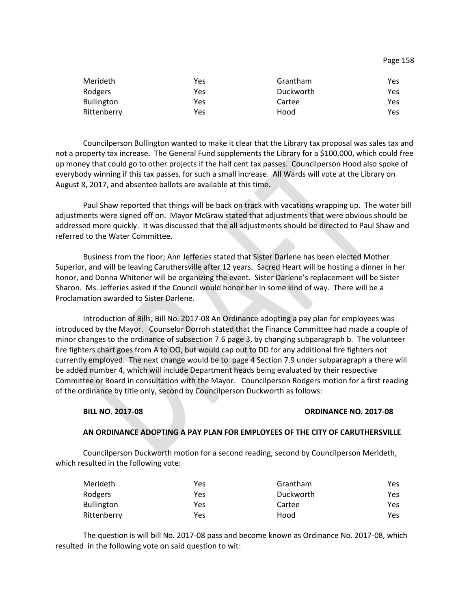| <b>Merideth</b>   | Yes | Grantham  | Yes |
|-------------------|-----|-----------|-----|
| Rodgers           | Yes | Duckworth | Yes |
| <b>Bullington</b> | Yes | Cartee    | Yes |
| Rittenberry       | Yes | Hood      | Yes |

Councilperson Bullington wanted to make it clear that the Library tax proposal was sales tax and not a property tax increase. The General Fund supplements the Library for a \$100,000, which could free up money that could go to other projects if the half cent tax passes. Councilperson Hood also spoke of everybody winning if this tax passes, for such a small increase. All Wards will vote at the Library on August 8, 2017, and absentee ballots are available at this time.

Paul Shaw reported that things will be back on track with vacations wrapping up. The water bill adjustments were signed off on. Mayor McGraw stated that adjustments that were obvious should be addressed more quickly. It was discussed that the all adjustments should be directed to Paul Shaw and referred to the Water Committee.

Business from the floor; Ann Jefferies stated that Sister Darlene has been elected Mother Superior, and will be leaving Caruthersville after 12 years. Sacred Heart will be hosting a dinner in her honor, and Donna Whitener will be organizing the event. Sister Darlene's replacement will be Sister Sharon. Ms. Jefferies asked if the Council would honor her in some kind of way. There will be a Proclamation awarded to Sister Darlene.

Introduction of Bills; Bill No. 2017-08 An Ordinance adopting a pay plan for employees was introduced by the Mayor. Counselor Dorroh stated that the Finance Committee had made a couple of minor changes to the ordinance of subsection 7.6 page 3, by changing subparagraph b. The volunteer fire fighters chart goes from A to OO, but would cap out to DD for any additional fire fighters not currently employed. The next change would be to page 4 Section 7.9 under subparagraph a there will be added number 4, which will include Department heads being evaluated by their respective Committee or Board in consultation with the Mayor. Councilperson Rodgers motion for a first reading of the ordinance by title only, second by Councilperson Duckworth as follows:

### **BILL NO. 2017-08 ORDINANCE NO. 2017-08**

### **AN ORDINANCE ADOPTING A PAY PLAN FOR EMPLOYEES OF THE CITY OF CARUTHERSVILLE**

Councilperson Duckworth motion for a second reading, second by Councilperson Merideth, which resulted in the following vote:

| Merideth          | Yes | Grantham  | Yes |
|-------------------|-----|-----------|-----|
| Rodgers           | Yes | Duckworth | Yes |
| <b>Bullington</b> | Yes | Cartee    | Yes |
| Rittenberry       | Yes | Hood      | Yes |

The question is will bill No. 2017-08 pass and become known as Ordinance No. 2017-08, which resulted in the following vote on said question to wit:

Page 158